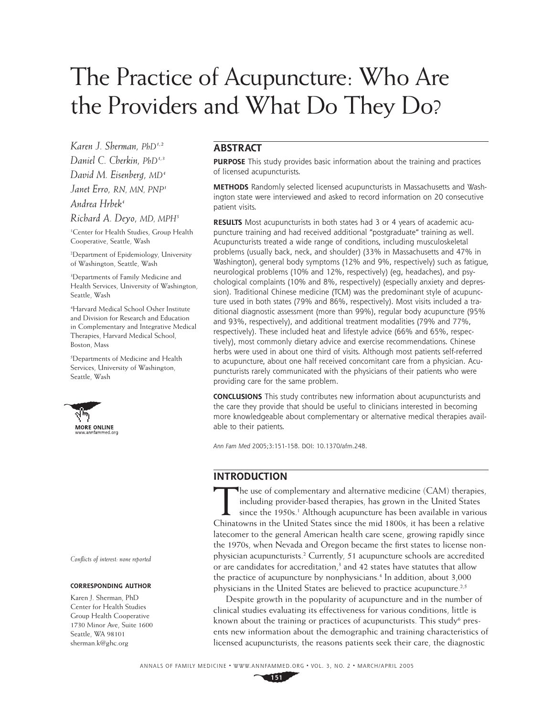# The Practice of Acupuncture: Who Are the Providers and What Do They Do?

*Karen J. Sherman, PhD1,2 Daniel C. Cherkin, PhD1,3 David M. Eisenberg, MD4 Janet Erro, RN, MN, PNP1 Andrea Hrbek4*

*Richard A. Deyo, MD, MPH5*

1 Center for Health Studies, Group Health Cooperative, Seattle, Wash

2 Department of Epidemiology, University of Washington, Seattle, Wash

3 Departments of Family Medicine and Health Services, University of Washington, Seattle, Wash

4 Harvard Medical School Osher Institute and Division for Research and Education in Complementary and Integrative Medical Therapies, Harvard Medical School, Boston, Mass

5 Departments of Medicine and Health Services, University of Washington, Seattle, Wash



*Confl icts of interest: none reported*

#### **CORRESPONDING AUTHOR**

Karen J. Sherman, PhD Center for Health Studies Group Health Cooperative 1730 Minor Ave, Suite 1600 Seattle, WA 98101 sherman.k@ghc.org

# **ABSTRACT**

**PURPOSE** This study provides basic information about the training and practices of licensed acupuncturists.

**METHODS** Randomly selected licensed acupuncturists in Massachusetts and Washington state were interviewed and asked to record information on 20 consecutive patient visits.

**RESULTS** Most acupuncturists in both states had 3 or 4 years of academic acupuncture training and had received additional "postgraduate" training as well. Acupuncturists treated a wide range of conditions, including musculoskeletal problems (usually back, neck, and shoulder) (33% in Massachusetts and 47% in Washington), general body symptoms (12% and 9%, respectively) such as fatigue, neurological problems (10% and 12%, respectively) (eg, headaches), and psychological complaints (10% and 8%, respectively) (especially anxiety and depression). Traditional Chinese medicine (TCM) was the predominant style of acupuncture used in both states (79% and 86%, respectively). Most visits included a traditional diagnostic assessment (more than 99%), regular body acupuncture (95% and 93%, respectively), and additional treatment modalities (79% and 77%, respectively). These included heat and lifestyle advice (66% and 65%, respectively), most commonly dietary advice and exercise recommendations. Chinese herbs were used in about one third of visits. Although most patients self-referred to acupuncture, about one half received concomitant care from a physician. Acupuncturists rarely communicated with the physicians of their patients who were providing care for the same problem.

**CONCLUSIONS** This study contributes new information about acupuncturists and the care they provide that should be useful to clinicians interested in becoming more knowledgeable about complementary or alternative medical therapies available to their patients.

*Ann Fam Med* 2005;3:151-158. DOI: 10.1370/afm.248.

# **INTRODUCTION**

The use of complementary and alternative medicine (CAM) therapies,<br>including provider-based therapies, has grown in the United States<br>since the 1950s.<sup>1</sup> Although acupuncture has been available in various<br>Chinatowns in the including provider-based therapies, has grown in the United States since the 1950s.<sup>1</sup> Although acupuncture has been available in various Chinatowns in the United States since the mid 1800s, it has been a relative latecomer to the general American health care scene, growing rapidly since the 1970s, when Nevada and Oregon became the first states to license nonphysician acupuncturists.<sup>2</sup> Currently, 51 acupuncture schools are accredited or are candidates for accreditation,<sup>3</sup> and 42 states have statutes that allow the practice of acupuncture by nonphysicians.<sup>4</sup> In addition, about 3,000 physicians in the United States are believed to practice acupuncture.<sup>2,5</sup>

Despite growth in the popularity of acupuncture and in the number of clinical studies evaluating its effectiveness for various conditions, little is known about the training or practices of acupuncturists. This study<sup>6</sup> presents new information about the demographic and training characteristics of licensed acupuncturists, the reasons patients seek their care, the diagnostic

ANNALS OF FAMILY MEDICINE ✦ WWW.ANNFAMMED.ORG ✦ VOL. 3, NO. 2 ✦ MARCH/APRIL 2005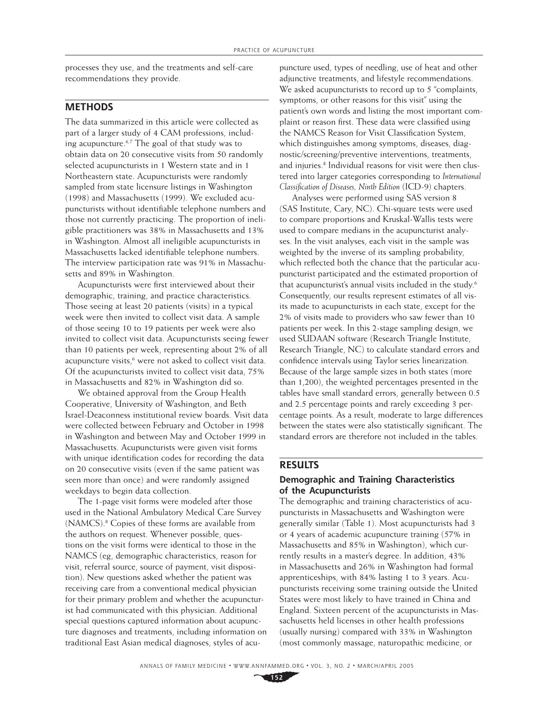processes they use, and the treatments and self-care recommendations they provide.

### **METHODS**

The data summarized in this article were collected as part of a larger study of 4 CAM professions, including acupuncture.6,7 The goal of that study was to obtain data on 20 consecutive visits from 50 randomly selected acupuncturists in 1 Western state and in 1 Northeastern state. Acupuncturists were randomly sampled from state licensure listings in Washington (1998) and Massachusetts (1999). We excluded acupuncturists without identifiable telephone numbers and those not currently practicing. The proportion of ineligible practitioners was 38% in Massachusetts and 13% in Washington. Almost all ineligible acupuncturists in Massachusetts lacked identifiable telephone numbers. The interview participation rate was 91% in Massachusetts and 89% in Washington.

Acupuncturists were first interviewed about their demographic, training, and practice characteristics. Those seeing at least 20 patients (visits) in a typical week were then invited to collect visit data. A sample of those seeing 10 to 19 patients per week were also invited to collect visit data. Acupuncturists seeing fewer than 10 patients per week, representing about 2% of all acupuncture visits,<sup>6</sup> were not asked to collect visit data. Of the acupuncturists invited to collect visit data, 75% in Massachusetts and 82% in Washington did so.

We obtained approval from the Group Health Cooperative, University of Washington, and Beth Israel-Deaconness institutional review boards. Visit data were collected between February and October in 1998 in Washington and between May and October 1999 in Massachusetts. Acupuncturists were given visit forms with unique identification codes for recording the data on 20 consecutive visits (even if the same patient was seen more than once) and were randomly assigned weekdays to begin data collection.

The 1-page visit forms were modeled after those used in the National Ambulatory Medical Care Survey (NAMCS).8 Copies of these forms are available from the authors on request. Whenever possible, questions on the visit forms were identical to those in the NAMCS (eg, demographic characteristics, reason for visit, referral source, source of payment, visit disposition). New questions asked whether the patient was receiving care from a conventional medical physician for their primary problem and whether the acupuncturist had communicated with this physician. Additional special questions captured information about acupuncture diagnoses and treatments, including information on traditional East Asian medical diagnoses, styles of acupuncture used, types of needling, use of heat and other adjunctive treatments, and lifestyle recommendations. We asked acupuncturists to record up to 5 "complaints, symptoms, or other reasons for this visit" using the patient's own words and listing the most important complaint or reason first. These data were classified using the NAMCS Reason for Visit Classification System, which distinguishes among symptoms, diseases, diagnostic/screening/preventive interventions, treatments, and injuries.<sup>8</sup> Individual reasons for visit were then clustered into larger categories corresponding to *International Classification of Diseases, Ninth Edition* (ICD-9) chapters.

Analyses were performed using SAS version 8 (SAS Institute, Cary, NC). Chi-square tests were used to compare proportions and Kruskal-Wallis tests were used to compare medians in the acupuncturist analyses. In the visit analyses, each visit in the sample was weighted by the inverse of its sampling probability, which reflected both the chance that the particular acupuncturist participated and the estimated proportion of that acupuncturist's annual visits included in the study.<sup>6</sup> Consequently, our results represent estimates of all visits made to acupuncturists in each state, except for the 2% of visits made to providers who saw fewer than 10 patients per week. In this 2-stage sampling design, we used SUDAAN software (Research Triangle Institute, Research Triangle, NC) to calculate standard errors and confidence intervals using Taylor series linearization. Because of the large sample sizes in both states (more than 1,200), the weighted percentages presented in the tables have small standard errors, generally between 0.5 and 2.5 percentage points and rarely exceeding 3 percentage points. As a result, moderate to large differences between the states were also statistically significant. The standard errors are therefore not included in the tables.

#### **RESULTS**

#### **Demographic and Training Characteristics of the Acupuncturists**

The demographic and training characteristics of acupuncturists in Massachusetts and Washington were generally similar (Table 1). Most acupuncturists had 3 or 4 years of academic acupuncture training (57% in Massachusetts and 85% in Washington), which currently results in a master's degree. In addition, 43% in Massachusetts and 26% in Washington had formal apprenticeships, with 84% lasting 1 to 3 years. Acupuncturists receiving some training outside the United States were most likely to have trained in China and England. Sixteen percent of the acupuncturists in Massachusetts held licenses in other health professions (usually nursing) compared with 33% in Washington (most commonly massage, naturopathic medicine, or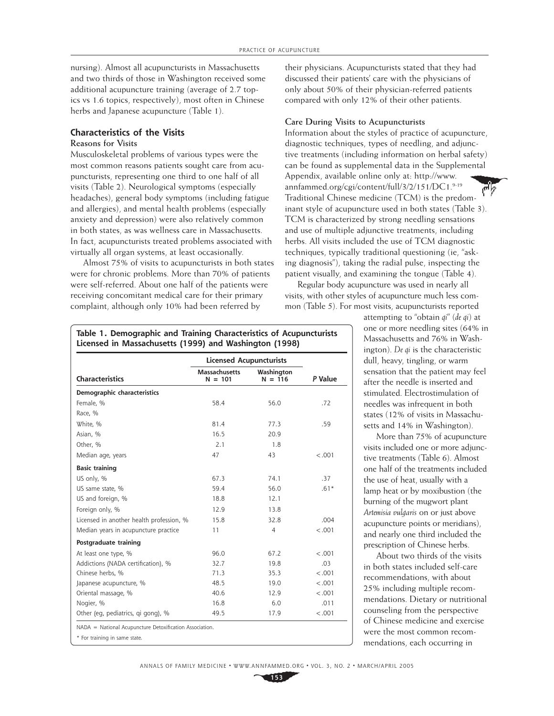nursing). Almost all acupuncturists in Massachusetts and two thirds of those in Washington received some additional acupuncture training (average of 2.7 topics vs 1.6 topics, respectively), most often in Chinese herbs and Japanese acupuncture (Table 1).

# **Characteristics of the Visits**

# **Reasons for Visits**

Musculoskeletal problems of various types were the most common reasons patients sought care from acupuncturists, representing one third to one half of all visits (Table 2). Neurological symptoms (especially headaches), general body symptoms (including fatigue and allergies), and mental health problems (especially anxiety and depression) were also relatively common in both states, as was wellness care in Massachusetts. In fact, acupuncturists treated problems associated with virtually all organ systems, at least occasionally.

Almost 75% of visits to acupuncturists in both states were for chronic problems. More than 70% of patients were self-referred. About one half of the patients were receiving concomitant medical care for their primary complaint, although only 10% had been referred by

their physicians. Acupuncturists stated that they had discussed their patients' care with the physicians of only about 50% of their physician-referred patients compared with only 12% of their other patients.

#### **Care During Visits to Acupuncturists**

Information about the styles of practice of acupuncture, diagnostic techniques, types of needling, and adjunctive treatments (including information on herbal safety) can be found as supplemental data in the Supplemental Appendix, available online only at: http://www. annfammed.org/cgi/content/full/3/2/151/DC1.9-19 Traditional Chinese medicine (TCM) is the predominant style of acupuncture used in both states (Table 3). TCM is characterized by strong needling sensations and use of multiple adjunctive treatments, including herbs. All visits included the use of TCM diagnostic techniques, typically traditional questioning (ie, "asking diagnosis"), taking the radial pulse, inspecting the patient visually, and examining the tongue (Table 4).

Regular body acupuncture was used in nearly all visits, with other styles of acupuncture much less common (Table 5). For most visits, acupuncturists reported

> attempting to "obtain *qi*" (*de qi*) at one or more needling sites (64% in Massachusetts and 76% in Washington). *De qi* is the characteristic dull, heavy, tingling, or warm sensation that the patient may feel after the needle is inserted and stimulated. Electrostimulation of needles was infrequent in both states (12% of visits in Massachusetts and 14% in Washington).

More than 75% of acupuncture visits included one or more adjunctive treatments (Table 6). Almost one half of the treatments included the use of heat, usually with a lamp heat or by moxibustion (the burning of the mugwort plant *Artemisia vulgaris* on or just above acupuncture points or meridians), and nearly one third included the prescription of Chinese herbs.

About two thirds of the visits in both states included self-care recommendations, with about 25% including multiple recommendations. Dietary or nutritional counseling from the perspective of Chinese medicine and exercise were the most common recommendations, each occurring in

|                                                         | <b>Licensed Acupuncturists</b>    |                         |         |
|---------------------------------------------------------|-----------------------------------|-------------------------|---------|
| <b>Characteristics</b>                                  | <b>Massachusetts</b><br>$N = 101$ | Washington<br>$N = 116$ | P Value |
| Demographic characteristics                             |                                   |                         |         |
| Female, %                                               | 58.4                              | 56.0                    | .72     |
| Race, %                                                 |                                   |                         |         |
| White, %                                                | 81.4                              | 77.3                    | .59     |
| Asian, %                                                | 16.5                              | 20.9                    |         |
| Other. %                                                | 2.1                               | 1.8                     |         |
| Median age, years                                       | 47                                | 43                      | < .001  |
| <b>Basic training</b>                                   |                                   |                         |         |
| US only, %                                              | 67.3                              | 74.1                    | .37     |
| US same state. %                                        | 59.4                              | 56.0                    | $.61*$  |
| US and foreign, %                                       | 18.8                              | 12.1                    |         |
| Foreign only, %                                         | 12.9                              | 13.8                    |         |
| Licensed in another health profession, %                | 15.8                              | 32.8                    | .004    |
| Median years in acupuncture practice                    | 11                                | $\overline{4}$          | < .001  |
| Postgraduate training                                   |                                   |                         |         |
| At least one type, %                                    | 96.0                              | 67.2                    | < .001  |
| Addictions (NADA certification), %                      | 32.7                              | 19.8                    | .03     |
| Chinese herbs. %                                        | 71.3                              | 35.3                    | $-.001$ |
| Japanese acupuncture, %                                 | 48.5                              | 19.0                    | < .001  |
| Oriental massage, %                                     | 40.6                              | 12.9                    | < .001  |
| Nogier, %                                               | 16.8                              | 6.0                     | .011    |
| Other (eg, pediatrics, gi gong), %                      | 49.5                              | 17.9                    | < .001  |
| NADA = National Acupuncture Detoxification Association. |                                   |                         |         |
| * For training in same state.                           |                                   |                         |         |

**Table 1. Demographic and Training Characteristics of Acupuncturists Licensed in Massachusetts (1999) and Washington (1998)**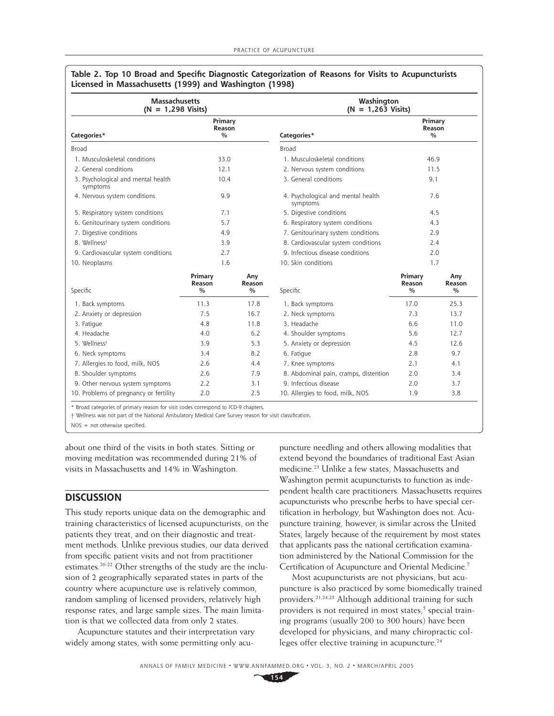| <b>Massachusetts</b><br>$(N = 1,298 \text{ Visits})$ |                                    | Washington<br>$(N = 1,263$ Visits) |                                                |                                    |                                |
|------------------------------------------------------|------------------------------------|------------------------------------|------------------------------------------------|------------------------------------|--------------------------------|
| Categories*                                          | Primary<br>Reason<br>$\frac{0}{0}$ |                                    | Categories*                                    | Primary<br>Reason<br>$\frac{0}{0}$ |                                |
| <b>Broad</b>                                         |                                    |                                    | <b>Broad</b>                                   |                                    |                                |
| 1. Musculoskeletal conditions                        | 33.0                               |                                    | 1. Musculoskeletal conditions                  | 46.9                               |                                |
| 2. General conditions                                | 12.1                               |                                    | 2. Nervous system conditions                   | 11.5                               |                                |
| 3. Psychological and mental health<br>symptoms       | 10.4                               |                                    | 3. General conditions                          | 9.1                                |                                |
| 4. Nervous system conditions                         | 9.9                                |                                    | 4. Psychological and mental health<br>symptoms |                                    | 7.6                            |
| 5. Respiratory system conditions                     | 7.1                                |                                    | 5. Digestive conditions                        |                                    | 4.5                            |
| 6. Genitourinary system conditions                   | 5.7                                |                                    | 6. Respiratory system conditions               |                                    | 4.3                            |
| 7. Digestive conditions                              | 4.9                                |                                    | 7. Genitourinary system conditions             |                                    | 2.9                            |
| 8. Wellnesst                                         | 3.9                                |                                    | 8. Cardiovascular system conditions            |                                    | 2.4                            |
| 9. Cardiovascular system conditions                  | 2.7                                |                                    | 9. Infectious disease conditions               | 2.0                                |                                |
| 10. Neoplasms                                        | 1.6                                |                                    | 10. Skin conditions                            | 1.7                                |                                |
| Specific                                             | Primary<br>Reason<br>$\frac{0}{0}$ | Any<br>Reason<br>$\frac{0}{0}$     | Specific                                       | Primary<br>Reason<br>$\frac{0}{0}$ | Any<br>Reason<br>$\frac{0}{0}$ |
| 1. Back symptoms                                     | 11.3                               | 17.8                               | 1. Back symptoms                               | 17.0                               | 25.3                           |
| 2. Anxiety or depression                             | 7.5                                | 16.7                               | 2. Neck symptoms                               | 7.3                                | 13.7                           |
| 3. Fatigue                                           | 4.8                                | 11.8                               | 3. Headache                                    | 6.6                                | 11.0                           |
| 4. Headache                                          | 4.0                                | 6.2                                | 4. Shoulder symptoms                           | 5.6                                | 12.7                           |
| 5. Wellnesst                                         | 3.9                                | 5.3                                | 5. Anxiety or depression                       | 4.5                                | 12.6                           |
| 6. Neck symptoms                                     | 3.4                                | 8.2                                | 6. Fatigue                                     | 2.8                                | 9.7                            |
| 7. Allergies to food, milk, NOS                      | 2.6                                | 4.4                                | 7. Knee symptoms                               | 2.1                                | 4.1                            |
| 8. Shoulder symptoms                                 | 2.6                                | 7.9                                | 8. Abdominal pain, cramps, distention          | 2.0                                | 3.4                            |
| 9. Other nervous system symptoms                     | 2.2                                | 3.1                                | 9. Infectious disease                          | 2.0                                | 3.7                            |
| 10. Problems of pregnancy or fertility               | 2.0                                | 2.5                                | 10. Allergies to food, milk, NOS               | 1.9                                | 3.8                            |

#### Table 2. Top 10 Broad and Specific Diagnostic Categorization of Reasons for Visits to Acupuncturists **Licensed in Massachusetts (1999) and Washington (1998)**

† Wellness was not part of the National Ambulatory Medical Care Survey reason for visit classifi cation.

 $NOS = not otherwise specified.$ 

about one third of the visits in both states. Sitting or moving meditation was recommended during 21% of visits in Massachusetts and 14% in Washington.

# **DISCUSSION**

This study reports unique data on the demographic and training characteristics of licensed acupuncturists, on the patients they treat, and on their diagnostic and treatment methods. Unlike previous studies, our data derived from specific patient visits and not from practitioner estimates.20-22 Other strengths of the study are the inclusion of 2 geographically separated states in parts of the country where acupuncture use is relatively common, random sampling of licensed providers, relatively high response rates, and large sample sizes. The main limitation is that we collected data from only 2 states.

Acupuncture statutes and their interpretation vary widely among states, with some permitting only acupuncture needling and others allowing modalities that extend beyond the boundaries of traditional East Asian medicine.23 Unlike a few states, Massachusetts and Washington permit acupuncturists to function as independent health care practitioners. Massachusetts requires acupuncturists who prescribe herbs to have special certification in herbology, but Washington does not. Acupuncture training, however, is similar across the United States, largely because of the requirement by most states that applicants pass the national certification examination administered by the National Commission for the Certification of Acupuncture and Oriental Medicine.<sup>7</sup>

Most acupuncturists are not physicians, but acupuncture is also practiced by some biomedically trained providers.21,24,25 Although additional training for such providers is not required in most states,<sup>5</sup> special training programs (usually 200 to 300 hours) have been developed for physicians, and many chiropractic colleges offer elective training in acupuncture.<sup>24</sup>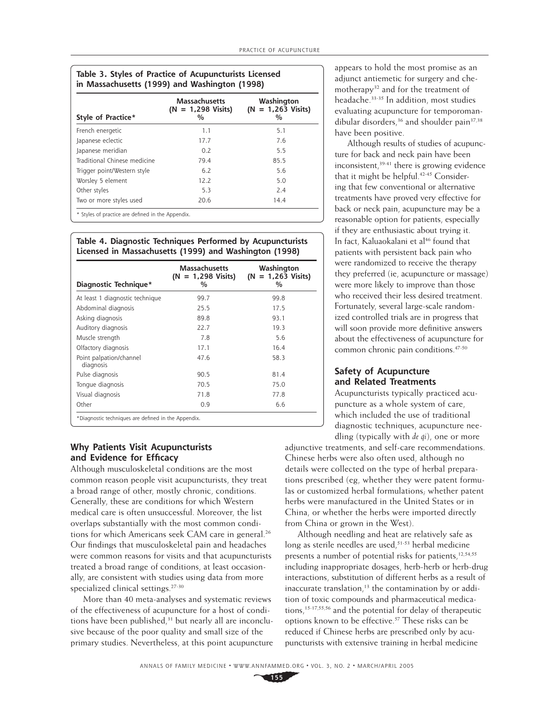| Style of Practice*           | <b>Massachusetts</b><br>$(N = 1,298 \text{ Visits})$<br>% | Washington<br>$(N = 1,263 \text{ Visits})$<br>% |
|------------------------------|-----------------------------------------------------------|-------------------------------------------------|
| French energetic             | 1.1                                                       | 5.1                                             |
| Japanese eclectic            | 17.7                                                      | 7.6                                             |
| Japanese meridian            | 0.2                                                       | 5.5                                             |
| Traditional Chinese medicine | 79.4                                                      | 85.5                                            |
| Trigger point/Western style  | 6.2                                                       | 5.6                                             |
| Worsley 5 element            | 12.2                                                      | 5.0                                             |
| Other styles                 | 5.3                                                       | 2.4                                             |
| Two or more styles used      | 20.6                                                      | 14.4                                            |

#### **Table 4. Diagnostic Techniques Performed by Acupuncturists Licensed in Massachusetts (1999) and Washington (1998)**

| Diagnostic Technique*                | <b>Massachusetts</b><br>$(N = 1,298 \text{ Visits})$<br>% | Washington<br>$(N = 1,263 \text{ Visits})$<br>% |
|--------------------------------------|-----------------------------------------------------------|-------------------------------------------------|
| At least 1 diagnostic technique      | 99.7                                                      | 99.8                                            |
| Abdominal diagnosis                  | 25.5                                                      | 17.5                                            |
| Asking diagnosis                     | 89.8                                                      | 93.1                                            |
| Auditory diagnosis                   | 22.7                                                      | 19.3                                            |
| Muscle strength                      | 7.8                                                       | 5.6                                             |
| Olfactory diagnosis                  | 17.1                                                      | 16.4                                            |
| Point palpation/channel<br>diagnosis | 47.6                                                      | 58.3                                            |
| Pulse diagnosis                      | 90.5                                                      | 81.4                                            |
| Tonque diagnosis                     | 70.5                                                      | 75.0                                            |
| Visual diagnosis                     | 71.8                                                      | 77.8                                            |
| Other                                | 0.9                                                       | 6.6                                             |

\*Diagnostic techniques are defined in the Appendix.

## **Why Patients Visit Acupuncturists**  and Evidence for Efficacy

Although musculoskeletal conditions are the most common reason people visit acupuncturists, they treat a broad range of other, mostly chronic, conditions. Generally, these are conditions for which Western medical care is often unsuccessful. Moreover, the list overlaps substantially with the most common conditions for which Americans seek CAM care in general.<sup>26</sup> Our findings that musculoskeletal pain and headaches were common reasons for visits and that acupuncturists treated a broad range of conditions, at least occasionally, are consistent with studies using data from more specialized clinical settings.<sup>27-30</sup>

More than 40 meta-analyses and systematic reviews of the effectiveness of acupuncture for a host of conditions have been published,<sup>31</sup> but nearly all are inconclusive because of the poor quality and small size of the primary studies. Nevertheless, at this point acupuncture appears to hold the most promise as an adjunct antiemetic for surgery and chemotherapy<sup>32</sup> and for the treatment of headache.33-35 In addition, most studies evaluating acupuncture for temporomandibular disorders,  $36$  and shoulder pain  $37,38$ have been positive.

Although results of studies of acupuncture for back and neck pain have been inconsistent,39-41 there is growing evidence that it might be helpful.<sup>42-45</sup> Considering that few conventional or alternative treatments have proved very effective for back or neck pain, acupuncture may be a reasonable option for patients, especially if they are enthusiastic about trying it. In fact, Kaluaokalani et al<sup>46</sup> found that patients with persistent back pain who were randomized to receive the therapy they preferred (ie, acupuncture or massage) were more likely to improve than those who received their less desired treatment. Fortunately, several large-scale randomized controlled trials are in progress that will soon provide more definitive answers about the effectiveness of acupuncture for common chronic pain conditions.47-50

#### **Safety of Acupuncture and Related Treatments**

Acupuncturists typically practiced acupuncture as a whole system of care, which included the use of traditional diagnostic techniques, acupuncture needling (typically with *de qi*), one or more

adjunctive treatments, and self-care recommendations. Chinese herbs were also often used, although no details were collected on the type of herbal preparations prescribed (eg, whether they were patent formulas or customized herbal formulations; whether patent herbs were manufactured in the United States or in China, or whether the herbs were imported directly from China or grown in the West).

Although needling and heat are relatively safe as long as sterile needles are used,<sup>51-53</sup> herbal medicine presents a number of potential risks for patients,<sup>12,54,55</sup> including inappropriate dosages, herb-herb or herb-drug interactions, substitution of different herbs as a result of inaccurate translation, $13$  the contamination by or addition of toxic compounds and pharmaceutical medications,15-17,55,56 and the potential for delay of therapeutic options known to be effective.<sup>57</sup> These risks can be reduced if Chinese herbs are prescribed only by acupuncturists with extensive training in herbal medicine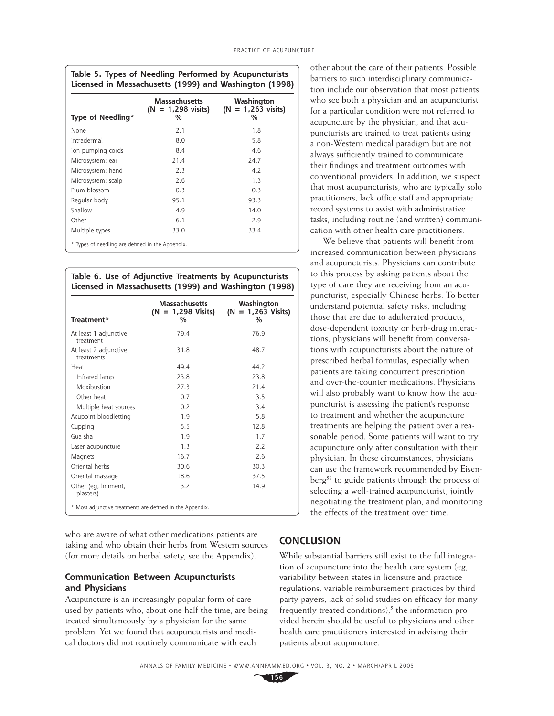| Type of Needling*  | Massachusetts<br>$(N = 1,298 \text{ visits})$<br>$\%$ | Washington<br>$(N = 1,263 \text{ visits})$<br>% |
|--------------------|-------------------------------------------------------|-------------------------------------------------|
| None               | 2.1                                                   | 1.8                                             |
| Intradermal        | 8.0                                                   | 5.8                                             |
| lon pumping cords  | 8.4                                                   | 4.6                                             |
| Microsystem: ear   | 21.4                                                  | 24.7                                            |
| Microsystem: hand  | 2.3                                                   | 4.7                                             |
| Microsystem: scalp | 2.6                                                   | 1.3                                             |
| Plum blossom       | 0.3                                                   | 0.3                                             |
| Regular body       | 95.1                                                  | 93.3                                            |
| Shallow            | 4.9                                                   | 14.0                                            |
| Other              | 6.1                                                   | 2.9                                             |
| Multiple types     | 33.0                                                  | 33.4                                            |

**Table 6. Use of Adjunctive Treatments by Acupuncturists Licensed in Massachusetts (1999) and Washington (1998)**

| Treatment*                          | <b>Massachusetts</b><br>$(N = 1,298 \text{ Visits})$<br>$\%$ | Washington<br>$(N = 1,263 \text{ Visits})$<br>% |
|-------------------------------------|--------------------------------------------------------------|-------------------------------------------------|
| At least 1 adjunctive<br>treatment  | 79.4                                                         | 76.9                                            |
| At least 2 adjunctive<br>treatments | 31.8                                                         | 48.7                                            |
| Heat                                | 49.4                                                         | 44.2                                            |
| Infrared lamp                       | 23.8                                                         | 23.8                                            |
| Moxibustion                         | 27.3                                                         | 21.4                                            |
| Other heat                          | 0.7                                                          | 3.5                                             |
| Multiple heat sources               | 0.2                                                          | 3.4                                             |
| Acupoint bloodletting               | 1.9                                                          | 5.8                                             |
| Cupping                             | 5.5                                                          | 12.8                                            |
| Gua sha                             | 1.9                                                          | 1.7                                             |
| Laser acupuncture                   | 1.3                                                          | 2.2                                             |
| <b>Magnets</b>                      | 16.7                                                         | 2.6                                             |
| Oriental herbs                      | 30.6                                                         | 30.3                                            |
| Oriental massage                    | 18.6                                                         | 37.5                                            |
| Other (eg, liniment,<br>plasters)   | 3.2                                                          | 14.9                                            |

who are aware of what other medications patients are taking and who obtain their herbs from Western sources (for more details on herbal safety, see the Appendix).

#### **Communication Between Acupuncturists and Physicians**

Acupuncture is an increasingly popular form of care used by patients who, about one half the time, are being treated simultaneously by a physician for the same problem. Yet we found that acupuncturists and medical doctors did not routinely communicate with each

other about the care of their patients. Possible barriers to such interdisciplinary communication include our observation that most patients who see both a physician and an acupuncturist for a particular condition were not referred to acupuncture by the physician, and that acupuncturists are trained to treat patients using a non-Western medical paradigm but are not always sufficiently trained to communicate their findings and treatment outcomes with conventional providers. In addition, we suspect that most acupuncturists, who are typically solo practitioners, lack office staff and appropriate record systems to assist with administrative tasks, including routine (and written) communication with other health care practitioners.

We believe that patients will benefit from increased communication between physicians and acupuncturists. Physicians can contribute to this process by asking patients about the type of care they are receiving from an acupuncturist, especially Chinese herbs. To better understand potential safety risks, including those that are due to adulterated products, dose-dependent toxicity or herb-drug interactions, physicians will benefit from conversations with acupuncturists about the nature of prescribed herbal formulas, especially when patients are taking concurrent prescription and over-the-counter medications. Physicians will also probably want to know how the acupuncturist is assessing the patient's response to treatment and whether the acupuncture treatments are helping the patient over a reasonable period. Some patients will want to try acupuncture only after consultation with their physician. In these circumstances, physicians can use the framework recommended by Eisenberg<sup>58</sup> to guide patients through the process of selecting a well-trained acupuncturist, jointly negotiating the treatment plan, and monitoring the effects of the treatment over time.

# **CONCLUSION**

While substantial barriers still exist to the full integration of acupuncture into the health care system (eg, variability between states in licensure and practice regulations, variable reimbursement practices by third party payers, lack of solid studies on efficacy for many frequently treated conditions) $<sub>i</sub>$ <sup>5</sup> the information pro-</sub> vided herein should be useful to physicians and other health care practitioners interested in advising their patients about acupuncture.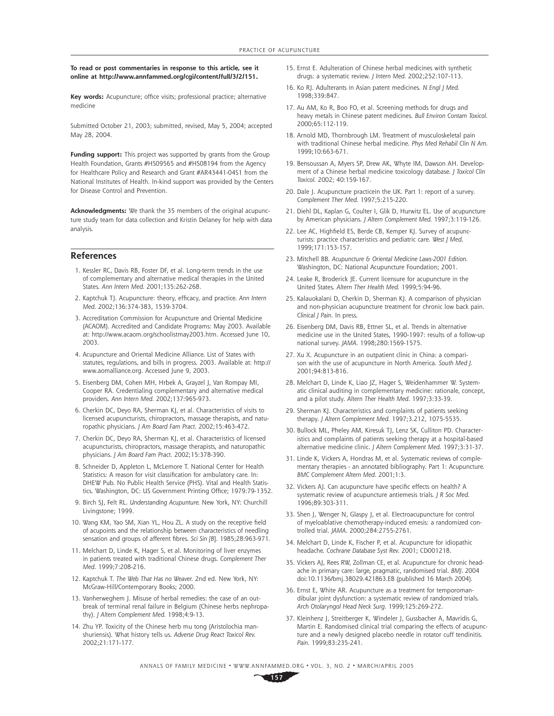**To read or post commentaries in response to this article, see it online at http://www.annfammed.org/cgi/content/full/3/2/151.** 

Key words: Acupuncture; office visits; professional practice; alternative medicine

Submitted October 21, 2003; submitted, revised, May 5, 2004; accepted May 28, 2004.

Funding support: This project was supported by grants from the Group Health Foundation, Grants #HS09565 and #HS08194 from the Agency for Healthcare Policy and Research and Grant #AR43441-04S1 from the National Institutes of Health. In-kind support was provided by the Centers for Disease Control and Prevention.

**Acknowledgments:** We thank the 35 members of the original acupuncture study team for data collection and Kristin Delaney for help with data analysis.

#### **References**

- 1. Kessler RC, Davis RB, Foster DF, et al. Long-term trends in the use of complementary and alternative medical therapies in the United States. *Ann Intern Med.* 2001;135:262-268.
- 2. Kaptchuk TJ. Acupuncture: theory, efficacy, and practice. Ann Intern *Med.* 2002;136:374-383, 1539-3704.
- 3. Accreditation Commission for Acupuncture and Oriental Medicine (ACAOM). Accredited and Candidate Programs: May 2003. Available at: http://www.acaom.org/schoolistmay2003.htm. Accessed June 10, 2003.
- 4. Acupuncture and Oriental Medicine Alliance. List of States with statutes, regulations, and bills in progress. 2003. Available at: http:// www.aomalliance.org. Accessed June 9, 2003.
- 5. Eisenberg DM, Cohen MH, Hrbek A, Grayzel J, Van Rompay MI, Cooper RA. Credentialing complementary and alternative medical providers. *Ann Intern Med.* 2002;137:965-973.
- 6. Cherkin DC, Deyo RA, Sherman KJ, et al. Characteristics of visits to licensed acupuncturists, chiropractors, massage therapists, and naturopathic physicians. *J Am Board Fam Pract.* 2002;15:463-472.
- 7. Cherkin DC, Deyo RA, Sherman KJ, et al. Characteristics of licensed acupuncturists, chiropractors, massage therapists, and naturopathic physicians. *J Am Board Fam Pract.* 2002;15:378-390.
- 8. Schneider D, Appleton L, McLemore T. National Center for Health Statistics: A reason for visit classification for ambulatory care. In: DHEW Pub. No Public Health Service (PHS). Vital and Health Statistics. Washington, DC: US Government Printing Office; 1979:79-1352.
- 9. Birch SJ, Felt RL. *Understanding Acupunture.* New York, NY: Churchill Livingstone; 1999.
- 10. Wang KM, Yao SM, Xian YL, Hou ZL. A study on the receptive field of acupoints and the relationship between characteristics of needling sensation and groups of afferent fibres. *Sci Sin [B*]. 1985;28:963-971.
- 11. Melchart D, Linde K, Hager S, et al. Monitoring of liver enzymes in patients treated with traditional Chinese drugs. *Complement Ther Med.* 1999;7:208-216.
- 12. Kaptchuk T. *The Web That Has no Weaver.* 2nd ed. New York, NY: McGraw-Hill/Contemporary Books; 2000.
- 13. Vanherweghem J. Misuse of herbal remedies: the case of an outbreak of terminal renal failure in Belgium (Chinese herbs nephropathy). *J Altern Complement Med.* 1998;4:9-13.
- 14. Zhu YP. Toxicity of the Chinese herb mu tong (Aristolochia manshuriensis). What history tells us. *Adverse Drug React Toxicol Rev.*  2002;21:171-177.
- 15. Ernst E. Adulteration of Chinese herbal medicines with synthetic drugs: a systematic review. *J Intern Med.* 2002;252:107-113.
- 16. Ko RJ. Adulterants in Asian patent medicines. *N Engl J Med.*  1998;339:847.
- 17. Au AM, Ko R, Boo FO, et al. Screening methods for drugs and heavy metals in Chinese patent medicines. *Bull Environ Contam Toxicol.*  2000;65:112-119.
- 18. Arnold MD, Thornbrough LM. Treatment of musculoskeletal pain with traditional Chinese herbal medicine. *Phys Med Rehabil Clin N Am.*  1999;10:663-671.
- 19. Bensoussan A, Myers SP, Drew AK, Whyte IM, Dawson AH. Development of a Chinese herbal medicine toxicology database. *J Toxicol Clin Toxicol.* 2002; 40:159-167.
- 20. Dale J. Acupuncture practicein the UK. Part 1: report of a survey. *Complement Ther Med.* 1997;5:215-220.
- 21. Diehl DL, Kaplan G, Coulter I, Glik D, Hurwitz EL. Use of acupuncture by American physicians. *J Altern Complement Med.* 1997;3:119-126.
- 22. Lee AC, Highfield ES, Berde CB, Kemper KJ. Survey of acupuncturists: practice characteristics and pediatric care. *West J Med.*  1999;171:153-157.
- 23. Mitchell BB. *Acupuncture & Oriental Medicine Laws-2001 Edition.*  Washington, DC: National Acupuncture Foundation; 2001.
- 24. Leake R, Broderick JE. Current licensure for acupuncture in the United States. *Altern Ther Health Med.* 1999;5:94-96.
- 25. Kalauokalani D, Cherkin D, Sherman KJ. A comparison of physician and non-physician acupuncture treatment for chronic low back pain. *Clinical J Pain.* In press.
- 26. Eisenberg DM, Davis RB, Ettner SL, et al. Trends in alternative medicine use in the United States, 1990-1997: results of a follow-up national survey. *JAMA.* 1998;280:1569-1575.
- 27. Xu X. Acupuncture in an outpatient clinic in China: a comparison with the use of acupuncture in North America. *South Med J.*  2001;94:813-816.
- 28. Melchart D, Linde K, Liao JZ, Hager S, Weidenhammer W. Systematic clinical auditing in complementary medicine: rationale, concept, and a pilot study. *Altern Ther Health Med.* 1997;3:33-39.
- 29. Sherman KJ. Characteristics and complaints of patients seeking therapy. *J Altern Complement Med.* 1997;3.212, 1075-5535.
- 30. Bullock ML, Pheley AM, Kiresuk TJ, Lenz SK, Culliton PD. Characteristics and complaints of patients seeking therapy at a hospital-based alternative medicine clinic. *J Altern Complement Med.* 1997;3:31-37.
- 31. Linde K, Vickers A, Hondras M, et al. Systematic reviews of complementary therapies - an annotated bibliography. Part 1: Acupuncture. *BMC Complement Altern Med.* 2001;1:3.
- 32. Vickers AJ. Can acupuncture have specific effects on health? A systematic review of acupuncture antiemesis trials. *J R Soc Med.*  1996;89:303-311.
- 33. Shen J, Wenger N, Glaspy J, et al. Electroacupuncture for control of myeloablative chemotherapy-induced emesis: a randomized controlled trial. *JAMA.* 2000;284:2755-2761.
- 34. Melchart D, Linde K, Fischer P, et al. Acupuncture for idiopathic headache. *Cochrane Database Syst Rev.* 2001; CD001218.
- 35. Vickers AJ, Rees RW, Zollman CE, et al. Acupuncture for chronic headache in primary care: large, pragmatic, randomised trial. *BMJ.* 2004 doi:10.1136/bmj.38029.421863.EB (published 16 March 2004).
- 36. Ernst E, White AR. Acupuncture as a treatment for temporomandibular joint dysfunction: a systematic review of randomized trials. *Arch Otolaryngol Head Neck Surg.* 1999;125:269-272.
- 37. Kleinhenz J, Streitberger K, Windeler J, Gussbacher A, Mavridis G, Martin E. Randomised clinical trial comparing the effects of acupuncture and a newly designed placebo needle in rotator cuff tendinitis. *Pain.* 1999;83:235-241.

ANNALS OF FAMILY MEDICINE ✦ WWW.ANNFAMMED.ORG ✦ VOL. 3, NO. 2 ✦ MARCH/APRIL 2005